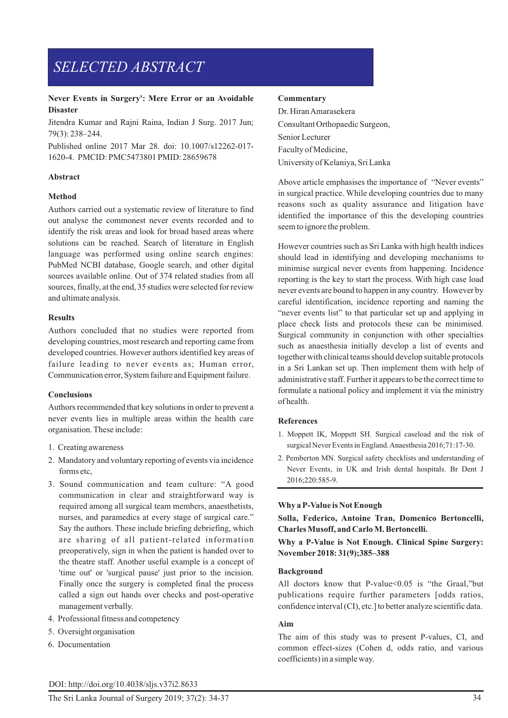# *SELECTED ABSTRACT*

### **Never Events in Surgery': Mere Error or an Avoidable Disaster**

Jitendra Kumar and Rajni Raina, Indian J Surg. 2017 Jun; 79(3): 238–244.

Published online 2017 Mar 28. doi: 10.1007/s12262-017- 1620-4. PMCID: PMC5473801 PMID: 28659678

#### **Abstract**

#### **Method**

Authors carried out a systematic review of literature to find out analyse the commonest never events recorded and to identify the risk areas and look for broad based areas where solutions can be reached. Search of literature in English language was performed using online search engines: PubMed NCBI database, Google search, and other digital sources available online. Out of 374 related studies from all sources, finally, at the end, 35 studies were selected for review and ultimate analysis.

#### **Results**

Authors concluded that no studies were reported from developing countries, most research and reporting came from developed countries. However authors identified key areas of failure leading to never events as; Human error, Communication error, System failure and Equipment failure.

#### **Conclusions**

Authors recommended that key solutions in order to prevent a never events lies in multiple areas within the health care organisation. These include:

- 1. Creating awareness
- 2. Mandatory and voluntary reporting of events via incidence forms etc,
- 3. Sound communication and team culture: "A good communication in clear and straightforward way is required among all surgical team members, anaesthetists, nurses, and paramedics at every stage of surgical care." Say the authors. These include briefing debriefing, which are sharing of all patient-related information preoperatively, sign in when the patient is handed over to the theatre staff. Another useful example is a concept of 'time out' or 'surgical pause' just prior to the incision. Finally once the surgery is completed final the process called a sign out hands over checks and post-operative management verbally.
- 4. Professional fitness and competency
- 5. Oversight organisation
- 6. Documentation

#### **Commentary**

Dr. Hiran Amarasekera Consultant Orthopaedic Surgeon, Senior Lecturer Faculty of Medicine, University of Kelaniya, Sri Lanka

Above article emphasises the importance of "Never events" in surgical practice. While developing countries due to many reasons such as quality assurance and litigation have identified the importance of this the developing countries seem to ignore the problem.

However countries such as Sri Lanka with high health indices should lead in identifying and developing mechanisms to minimise surgical never events from happening. Incidence reporting is the key to start the process. With high case load never events are bound to happen in any country. However by careful identification, incidence reporting and naming the "never events list" to that particular set up and applying in place check lists and protocols these can be minimised. Surgical community in conjunction with other specialties such as anaesthesia initially develop a list of events and together with clinical teams should develop suitable protocols in a Sri Lankan set up. Then implement them with help of administrative staff. Further it appears to be the correct time to formulate a national policy and implement it via the ministry of health.

### **References**

- 1. Moppett IK, Moppett SH. Surgical caseload and the risk of surgical Never Events in England. Anaesthesia 2016;71:17-30.
- 2. Pemberton MN. Surgical safety checklists and understanding of Never Events, in UK and Irish dental hospitals. Br Dent J 2016;220:585-9.

### **Why a P-Value is Not Enough**

**Solla, Federico, Antoine Tran, Domenico Bertoncelli, Charles Musoff, and Carlo M. Bertoncelli.** 

**Why a P-Value is Not Enough. Clinical Spine Surgery: November 2018: 31(9);385–388**

#### **Background**

All doctors know that P-value < 0.05 is "the Graal," but publications require further parameters [odds ratios, confidence interval (CI), etc.] to better analyze scientific data.

#### **Aim**

The aim of this study was to present P-values, CI, and common effect-sizes (Cohen d, odds ratio, and various coefficients) in a simple way.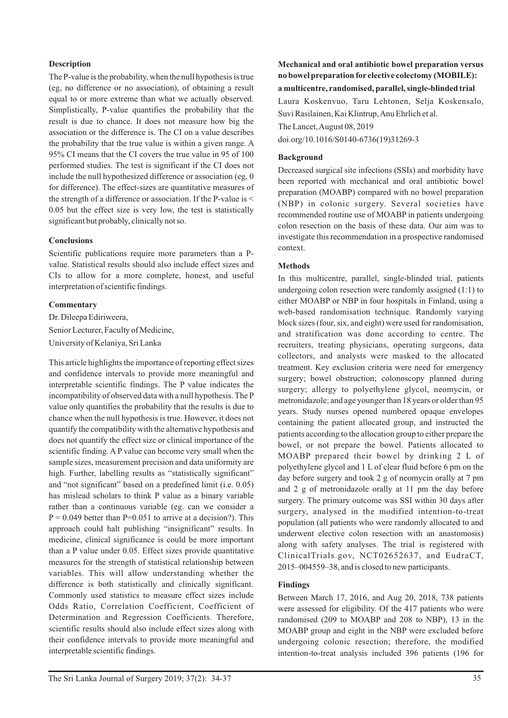## **Description**

The P-value is the probability, when the null hypothesis is true (eg, no difference or no association), of obtaining a result equal to or more extreme than what we actually observed. Simplistically, P-value quantifies the probability that the result is due to chance. It does not measure how big the association or the difference is. The CI on a value describes the probability that the true value is within a given range. A 95% CI means that the CI covers the true value in 95 of 100 performed studies. The test is significant if the CI does not include the null hypothesized difference or association (eg, 0 for difference). The effect-sizes are quantitative measures of the strength of a difference or association. If the P-value is < 0.05 but the effect size is very low, the test is statistically significant but probably, clinically not so.

### **Conclusions**

Scientific publications require more parameters than a Pvalue. Statistical results should also include effect sizes and CIs to allow for a more complete, honest, and useful interpretation of scientific findings.

### **Commentary**

Dr. Dileepa Ediriweera, Senior Lecturer, Faculty of Medicine, University of Kelaniya, Sri Lanka

This article highlights the importance of reporting effect sizes and confidence intervals to provide more meaningful and interpretable scientific findings. The P value indicates the incompatibility of observed data with a null hypothesis. The P value only quantifies the probability that the results is due to chance when the null hypothesis is true. However, it does not quantify the compatibility with the alternative hypothesis and does not quantify the effect size or clinical importance of the scientific finding. A P value can become very small when the sample sizes, measurement precision and data uniformity are high. Further, labelling results as "statistically significant" and "not significant" based on a predefined limit (i.e. 0.05) has mislead scholars to think P value as a binary variable rather than a continuous variable (eg. can we consider a  $P = 0.049$  better than P=0.051 to arrive at a decision?). This approach could halt publishing "insignificant" results. In medicine, clinical significance is could be more important than a P value under 0.05. Effect sizes provide quantitative measures for the strength of statistical relationship between variables. This will allow understanding whether the difference is both statistically and clinically significant. Commonly used statistics to measure effect sizes include Odds Ratio, Correlation Coefficient, Coefficient of Determination and Regression Coefficients. Therefore, scientific results should also include effect sizes along with their confidence intervals to provide more meaningful and interpretable scientific findings.

# **Mechanical and oral antibiotic bowel preparation versus no bowel preparation for elective colectomy (MOBILE): a multicentre, randomised, parallel, single-blinded trial**

Laura Koskenvuo, Taru Lehtonen, Selja Koskensalo, Suvi Rasilainen, Kai Klintrup, Anu Ehrlich et al.

The Lancet, August 08, 2019

doi.org/10.1016/S0140-6736(19)31269-3

## **Background**

Decreased surgical site infections (SSIs) and morbidity have been reported with mechanical and oral antibiotic bowel preparation (MOABP) compared with no bowel preparation (NBP) in colonic surgery. Several societies have recommended routine use of MOABP in patients undergoing colon resection on the basis of these data. Our aim was to investigate this recommendation in a prospective randomised context.

### **Methods**

In this multicentre, parallel, single-blinded trial, patients undergoing colon resection were randomly assigned (1:1) to either MOABP or NBP in four hospitals in Finland, using a web-based randomisation technique. Randomly varying block sizes (four, six, and eight) were used for randomisation, and stratification was done according to centre. The recruiters, treating physicians, operating surgeons, data collectors, and analysts were masked to the allocated treatment. Key exclusion criteria were need for emergency surgery; bowel obstruction; colonoscopy planned during surgery; allergy to polyethylene glycol, neomycin, or metronidazole; and age younger than 18 years or older than 95 years. Study nurses opened numbered opaque envelopes containing the patient allocated group, and instructed the patients according to the allocation group to either prepare the bowel, or not prepare the bowel. Patients allocated to MOABP prepared their bowel by drinking 2 L of polyethylene glycol and 1 L of clear fluid before 6 pm on the day before surgery and took 2 g of neomycin orally at 7 pm and 2 g of metronidazole orally at 11 pm the day before surgery. The primary outcome was SSI within 30 days after surgery, analysed in the modified intention-to-treat population (all patients who were randomly allocated to and underwent elective colon resection with an anastomosis) along with safety analyses. The trial is registered with ClinicalTrials.gov, NCT02652637, and EudraCT, 2015–004559–38, and is closed to new participants.

# **Findings**

Between March 17, 2016, and Aug 20, 2018, 738 patients were assessed for eligibility. Of the 417 patients who were randomised (209 to MOABP and 208 to NBP), 13 in the MOABP group and eight in the NBP were excluded before undergoing colonic resection; therefore, the modified intention-to-treat analysis included 396 patients (196 for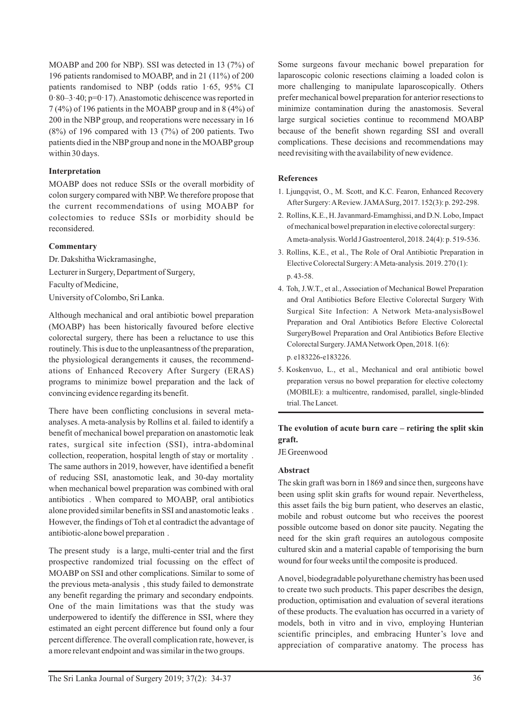MOABP and 200 for NBP). SSI was detected in 13 (7%) of 196 patients randomised to MOABP, and in 21 (11%) of 200 patients randomised to NBP (odds ratio 1·65, 95% CI  $0.80 - 3.40$ ; p= $0.17$ ). Anastomotic dehiscence was reported in 7 (4%) of 196 patients in the MOABP group and in 8 (4%) of 200 in the NBP group, and reoperations were necessary in 16  $(8\%)$  of 196 compared with 13  $(7\%)$  of 200 patients. Two patients died in the NBP group and none in the MOABP group within 30 days.

### **Interpretation**

MOABP does not reduce SSIs or the overall morbidity of colon surgery compared with NBP. We therefore propose that the current recommendations of using MOABP for colectomies to reduce SSIs or morbidity should be reconsidered.

# **Commentary**

Dr. Dakshitha Wickramasinghe, Lecturer in Surgery, Department of Surgery, Faculty of Medicine, University of Colombo, Sri Lanka.

Although mechanical and oral antibiotic bowel preparation (MOABP) has been historically favoured before elective colorectal surgery, there has been a reluctance to use this routinely. This is due to the unpleasantness of the preparation, the physiological derangements it causes, the recommendations of Enhanced Recovery After Surgery (ERAS) programs to minimize bowel preparation and the lack of convincing evidence regarding its benefit.

There have been conflicting conclusions in several metaanalyses. A meta-analysis by Rollins et al. failed to identify a benefit of mechanical bowel preparation on anastomotic leak rates, surgical site infection (SSI), intra-abdominal collection, reoperation, hospital length of stay or mortality . The same authors in 2019, however, have identified a benefit of reducing SSI, anastomotic leak, and 30-day mortality when mechanical bowel preparation was combined with oral antibiotics . When compared to MOABP, oral antibiotics alone provided similar benefits in SSI and anastomotic leaks . However, the findings of Toh et al contradict the advantage of antibiotic-alone bowel preparation .

The present study is a large, multi-center trial and the first prospective randomized trial focussing on the effect of MOABP on SSI and other complications. Similar to some of the previous meta-analysis , this study failed to demonstrate any benefit regarding the primary and secondary endpoints. One of the main limitations was that the study was underpowered to identify the difference in SSI, where they estimated an eight percent difference but found only a four percent difference. The overall complication rate, however, is a more relevant endpoint and was similar in the two groups.

Some surgeons favour mechanic bowel preparation for laparoscopic colonic resections claiming a loaded colon is more challenging to manipulate laparoscopically. Others prefer mechanical bowel preparation for anterior resections to minimize contamination during the anastomosis. Several large surgical societies continue to recommend MOABP because of the benefit shown regarding SSI and overall complications. These decisions and recommendations may need revisiting with the availability of new evidence.

# **References**

- 1. Ljungqvist, O., M. Scott, and K.C. Fearon, Enhanced Recovery After Surgery: A Review. JAMA Surg, 2017. 152(3): p. 292-298.
- 2. Rollins, K.E., H. Javanmard-Emamghissi, and D.N. Lobo, Impact of mechanical bowel preparation in elective colorectal surgery: A meta-analysis. World J Gastroenterol, 2018. 24(4): p. 519-536.
- 3. Rollins, K.E., et al., The Role of Oral Antibiotic Preparation in Elective Colorectal Surgery: A Meta-analysis. 2019. 270 (1): p. 43-58.
- 4. Toh, J.W.T., et al., Association of Mechanical Bowel Preparation and Oral Antibiotics Before Elective Colorectal Surgery With Surgical Site Infection: A Network Meta-analysisBowel Preparation and Oral Antibiotics Before Elective Colorectal SurgeryBowel Preparation and Oral Antibiotics Before Elective Colorectal Surgery. JAMA Network Open, 2018. 1(6): p. e183226-e183226.
- 5. Koskenvuo, L., et al., Mechanical and oral antibiotic bowel preparation versus no bowel preparation for elective colectomy (MOBILE): a multicentre, randomised, parallel, single-blinded trial. The Lancet.

# **The evolution of acute burn care – retiring the split skin graft.**

JE Greenwood

## **Abstract**

The skin graft was born in 1869 and since then, surgeons have been using split skin grafts for wound repair. Nevertheless, this asset fails the big burn patient, who deserves an elastic, mobile and robust outcome but who receives the poorest possible outcome based on donor site paucity. Negating the need for the skin graft requires an autologous composite cultured skin and a material capable of temporising the burn wound for four weeks until the composite is produced.

A novel, biodegradable polyurethane chemistry has been used to create two such products. This paper describes the design, production, optimisation and evaluation of several iterations of these products. The evaluation has occurred in a variety of models, both in vitro and in vivo, employing Hunterian scientific principles, and embracing Hunter's love and appreciation of comparative anatomy. The process has